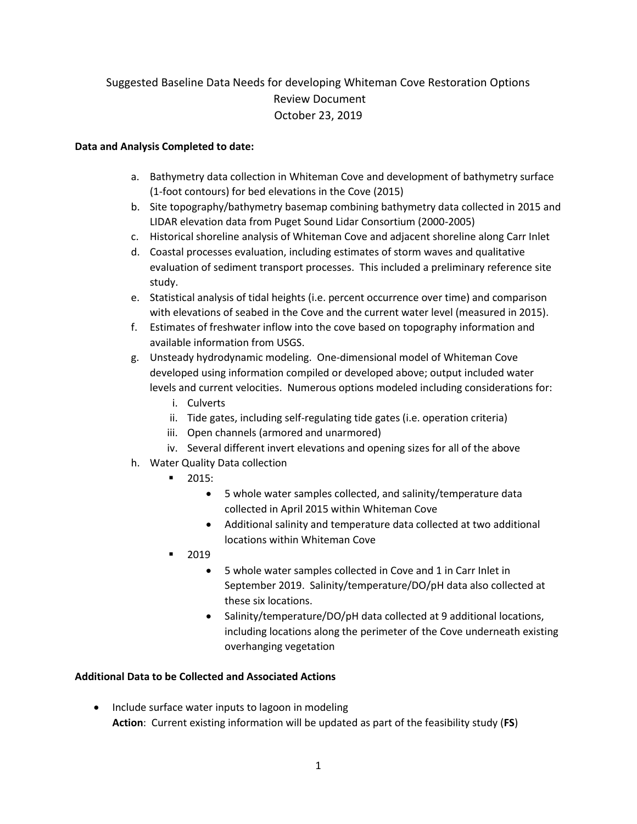## Suggested Baseline Data Needs for developing Whiteman Cove Restoration Options Review Document October 23, 2019

## **Data and Analysis Completed to date:**

- a. Bathymetry data collection in Whiteman Cove and development of bathymetry surface (1-foot contours) for bed elevations in the Cove (2015)
- b. Site topography/bathymetry basemap combining bathymetry data collected in 2015 and LIDAR elevation data from Puget Sound Lidar Consortium (2000-2005)
- c. Historical shoreline analysis of Whiteman Cove and adjacent shoreline along Carr Inlet
- d. Coastal processes evaluation, including estimates of storm waves and qualitative evaluation of sediment transport processes. This included a preliminary reference site study.
- e. Statistical analysis of tidal heights (i.e. percent occurrence over time) and comparison with elevations of seabed in the Cove and the current water level (measured in 2015).
- f. Estimates of freshwater inflow into the cove based on topography information and available information from USGS.
- g. Unsteady hydrodynamic modeling. One-dimensional model of Whiteman Cove developed using information compiled or developed above; output included water levels and current velocities. Numerous options modeled including considerations for:
	- i. Culverts
	- ii. Tide gates, including self-regulating tide gates (i.e. operation criteria)
	- iii. Open channels (armored and unarmored)
	- iv. Several different invert elevations and opening sizes for all of the above
- h. Water Quality Data collection
	- 2015:
		- 5 whole water samples collected, and salinity/temperature data collected in April 2015 within Whiteman Cove
		- Additional salinity and temperature data collected at two additional locations within Whiteman Cove
	- 2019
		- 5 whole water samples collected in Cove and 1 in Carr Inlet in September 2019. Salinity/temperature/DO/pH data also collected at these six locations.
		- Salinity/temperature/DO/pH data collected at 9 additional locations, including locations along the perimeter of the Cove underneath existing overhanging vegetation

## **Additional Data to be Collected and Associated Actions**

• Include surface water inputs to lagoon in modeling **Action**: Current existing information will be updated as part of the feasibility study (**FS**)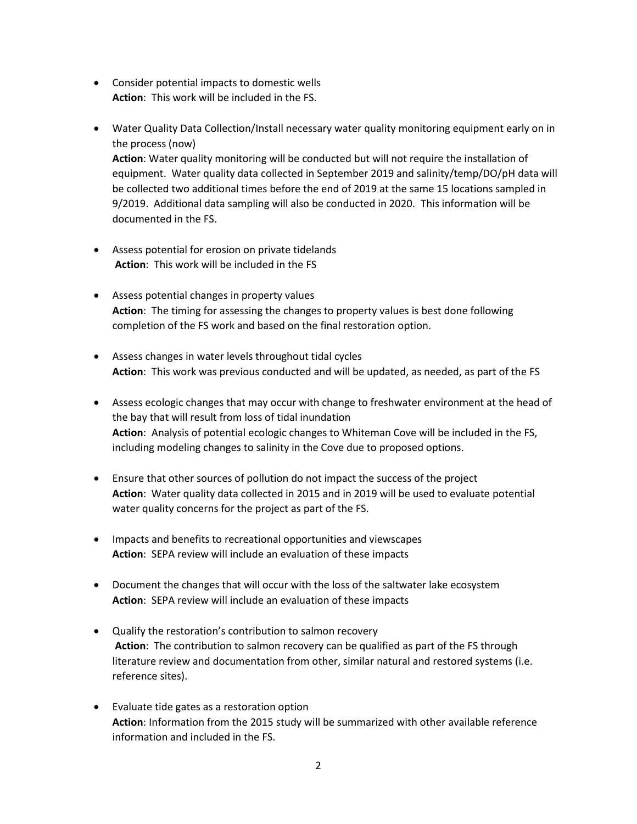- Consider potential impacts to domestic wells **Action**: This work will be included in the FS.
- Water Quality Data Collection/Install necessary water quality monitoring equipment early on in the process (now)

**Action**: Water quality monitoring will be conducted but will not require the installation of equipment. Water quality data collected in September 2019 and salinity/temp/DO/pH data will be collected two additional times before the end of 2019 at the same 15 locations sampled in 9/2019. Additional data sampling will also be conducted in 2020. This information will be documented in the FS.

- Assess potential for erosion on private tidelands **Action**: This work will be included in the FS
- Assess potential changes in property values **Action**: The timing for assessing the changes to property values is best done following completion of the FS work and based on the final restoration option.
- Assess changes in water levels throughout tidal cycles **Action**: This work was previous conducted and will be updated, as needed, as part of the FS
- Assess ecologic changes that may occur with change to freshwater environment at the head of the bay that will result from loss of tidal inundation **Action**: Analysis of potential ecologic changes to Whiteman Cove will be included in the FS, including modeling changes to salinity in the Cove due to proposed options.
- Ensure that other sources of pollution do not impact the success of the project **Action**: Water quality data collected in 2015 and in 2019 will be used to evaluate potential water quality concerns for the project as part of the FS.
- Impacts and benefits to recreational opportunities and viewscapes **Action**: SEPA review will include an evaluation of these impacts
- Document the changes that will occur with the loss of the saltwater lake ecosystem **Action**: SEPA review will include an evaluation of these impacts
- Qualify the restoration's contribution to salmon recovery **Action**: The contribution to salmon recovery can be qualified as part of the FS through literature review and documentation from other, similar natural and restored systems (i.e. reference sites).
- Evaluate tide gates as a restoration option **Action**: Information from the 2015 study will be summarized with other available reference information and included in the FS.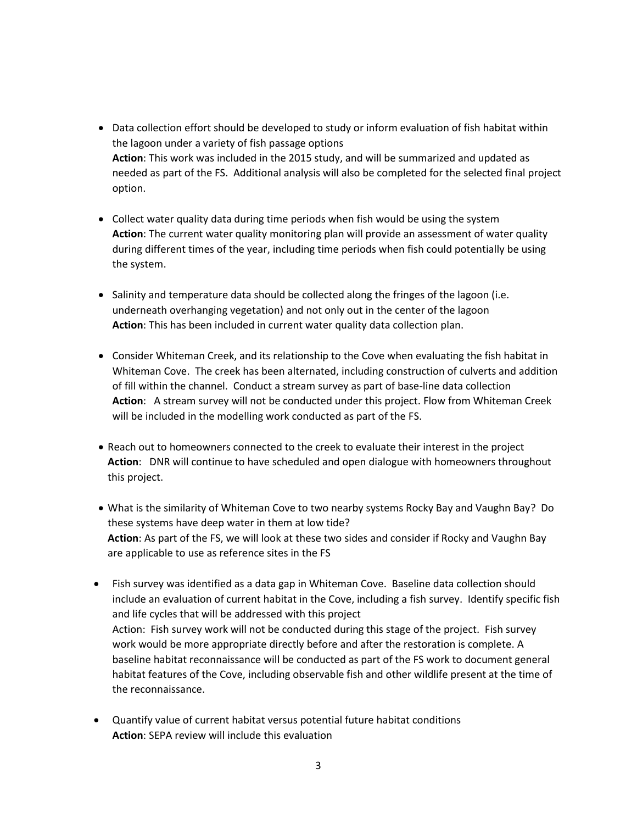- Data collection effort should be developed to study or inform evaluation of fish habitat within the lagoon under a variety of fish passage options **Action**: This work was included in the 2015 study, and will be summarized and updated as needed as part of the FS. Additional analysis will also be completed for the selected final project option.
- Collect water quality data during time periods when fish would be using the system **Action**: The current water quality monitoring plan will provide an assessment of water quality during different times of the year, including time periods when fish could potentially be using the system.
- Salinity and temperature data should be collected along the fringes of the lagoon (i.e. underneath overhanging vegetation) and not only out in the center of the lagoon **Action**: This has been included in current water quality data collection plan.
- Consider Whiteman Creek, and its relationship to the Cove when evaluating the fish habitat in Whiteman Cove. The creek has been alternated, including construction of culverts and addition of fill within the channel. Conduct a stream survey as part of base-line data collection **Action**: A stream survey will not be conducted under this project. Flow from Whiteman Creek will be included in the modelling work conducted as part of the FS.
- Reach out to homeowners connected to the creek to evaluate their interest in the project **Action**: DNR will continue to have scheduled and open dialogue with homeowners throughout this project.
- What is the similarity of Whiteman Cove to two nearby systems Rocky Bay and Vaughn Bay? Do these systems have deep water in them at low tide? **Action**: As part of the FS, we will look at these two sides and consider if Rocky and Vaughn Bay are applicable to use as reference sites in the FS
- Fish survey was identified as a data gap in Whiteman Cove. Baseline data collection should include an evaluation of current habitat in the Cove, including a fish survey. Identify specific fish and life cycles that will be addressed with this project Action: Fish survey work will not be conducted during this stage of the project. Fish survey work would be more appropriate directly before and after the restoration is complete. A baseline habitat reconnaissance will be conducted as part of the FS work to document general habitat features of the Cove, including observable fish and other wildlife present at the time of the reconnaissance.
- Quantify value of current habitat versus potential future habitat conditions **Action**: SEPA review will include this evaluation